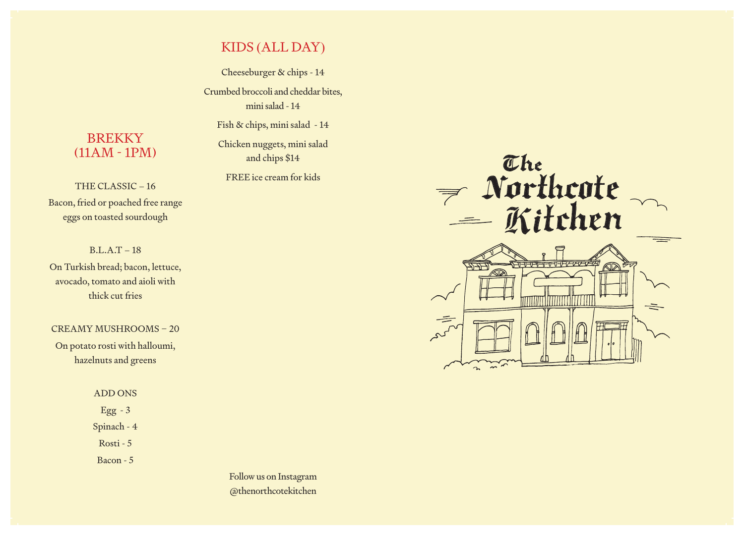# KIDS (ALL DAY)

Cheeseburger & chips - 14 Crumbed broccoli and cheddar bites, mini salad - 14

Fish & chips, mini salad - 14

Chicken nuggets, mini salad and chips \$14

FREE ice cream for kids

## **BREKKY** (11AM - 1PM)

THE CLASSIC – 16 Bacon, fried or poached free range eggs on toasted sourdough

### B.L.A.T – 18

On Turkish bread; bacon, lettuce, avocado, tomato and aioli with thick cut fries

#### CREAMY MUSHROOMS – 20

On potato rosti with halloumi, hazelnuts and greens

#### ADD ONS

Egg - 3

Spinach - 4

Rosti - 5

Bacon - 5

Follow us on Instagram @thenorthcotekitchen